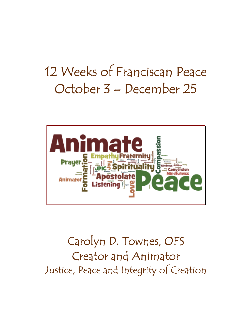# 12 Weeks of Franciscan Peace October 3 – December 25



# Carolyn D. Townes, OFS Creator and Animator Justice, Peace and Integrity of Creation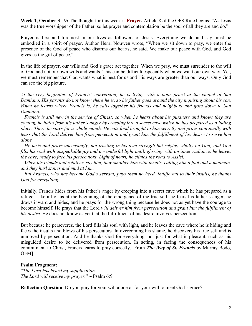**Week 1, October 3 - 9:** The thought for this week is **Prayer.** Article 8 of the OFS Rule begins: "As Jesus was the true worshipper of the Father, so let prayer and contemplation be the soul of all they are and do."

Prayer is first and foremost in our lives as followers of Jesus. Everything we do and say must be embodied in a spirit of prayer. Author Henri Nouwen wrote, "When we sit down to pray, we enter the presence of the God of peace who disarms our hearts, he said. We make our peace with God, and God gives us the gift of peace."

In the life of prayer, our wills and God's grace act together. When we pray, we must surrender to the will of God and not our own wills and wants. This can be difficult especially when we want our own way. Yet, we must remember that God wants what is best for us and His ways are greater than our ways. Only God can see the big picture.

*At the very beginning of Francis' conversion, he is living with a poor priest at the chapel of San Damiano. His parents do not know where he is, so his father goes around the city inquiring about his son. When he learns where Francis is, he calls together his friends and neighbors and goes down to San Damiano.* 

 *Francis is still new in the service of Christ; so when he hears about his pursuers and knows they are coming, he hides from his father's anger by creeping into a secret cave which he has prepared as a hiding place. There he stays for a whole month. He eats food brought to him secretly and prays continually with tears that the Lord deliver him from persecution and grant him the fulfillment of his desire to serve him alone.* 

 *He fasts and prays unceasingly, not trusting in his own strength but relying wholly on God; and God fills his soul with unspeakable joy and a wonderful light until, glowing with an inner radiance, he leaves the cave, ready to face his persecutors. Light of heart, he climbs the road to Assisi.* 

 *When his friends and relatives spy him, they smother him with insults, calling him a fool and a madman, and they hurl stones and mud at him.* 

 *But Francis, who has become God's servant, pays them no heed. Indifferent to their insults, he thanks God for everything.* 

Initially, Francis hides from his father's anger by creeping into a secret cave which he has prepared as a refuge. Like all of us at the beginning of the emergence of the true self, he fears his father's anger, he draws inward and hides, and he prays for the wrong thing because he does not as yet have the courage to become himself. He prays that the Lord *will deliver him from persecution and grant him the fulfillment of his desire*. He does not know as yet that the fulfillment of his desire involves persecution.

But because he perseveres, the Lord fills his soul with light, and he leaves the cave where he is hiding and faces the insults and blows of his persecutors. In overcoming his shame, he discovers his true self and is unmoved by persecution. And he thanks God for everything, not just for what is pleasant, such as his misguided desire to be delivered from persecution. In acting, in facing the consequences of his commitment to Christ, Francis learns to pray correctly. [From *The Way of St. Francis* by Murray Bodo, OFM]

### **Psalm Fragment:**

"*The Lord has heard my supplication; The Lord will receive my prayer.*" **~** Psalm 6:9

**Reflection Question**: Do you pray for your will alone or for your will to meet God's grace?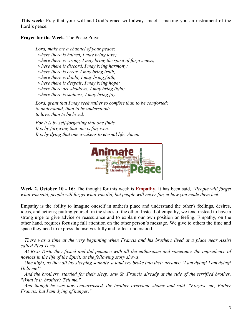**This week**: Pray that your will and God's grace will always meet – making you an instrument of the Lord's peace.

**Prayer for the Week**: The Peace Prayer

*Lord, make me a channel of your peace; where there is hatred, I may bring love; where there is wrong, I may bring the spirit of forgiveness; where there is discord, I may bring harmony; where there is error, I may bring truth; where there is doubt, I may bring faith; where there is despair, I may bring hope; where there are shadows, I may bring light; where there is sadness, I may bring joy.*

*Lord, grant that I may seek rather to comfort than to be comforted; to understand, than to be understood; to love, than to be loved.*

*For it is by self-forgetting that one finds. It is by forgiving that one is forgiven. It is by dying that one awakens to eternal life. Amen.*



**Week 2, October 10 - 16:** The thought for this week is **Empathy.** It has been said, "*People will forget what you said, people will forget what you did, but people will never forget how you made them feel*."

Empathy is the ability to imagine oneself in anther's place and understand the other's feelings, desires, ideas, and actions; putting yourself in the shoes of the other. Instead of empathy, we tend instead to have a strong urge to give advice or reassurance and to explain our own position or feeling. Empathy, on the other hand, requires focusing full attention on the other person's message. We give to others the time and space they need to express themselves fully and to feel understood.

 *There was a time at the very beginning when Francis and his brothers lived at a place near Assisi called Rivo Torto...* 

 *At Rivo Torto they fasted and did penance with all the enthusiasm and sometimes the imprudence of novices in the life of the Spirit, as the following story shows.* 

 *One night, as they all lay sleeping soundly, a loud cry broke into their dreams: "I am dying! I am dying! Help me!"* 

 *And the brothers, startled for their sleep, saw St. Francis already at the side of the terrified brother. "What is it, brother? Tell me."* 

 *And though he was now embarrassed, the brother overcame shame and said: "Forgive me, Father Francis; but I am dying of hunger."*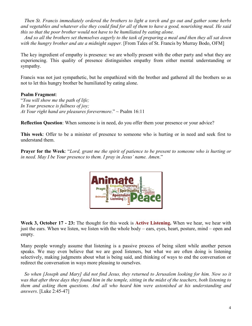*Then St. Francis immediately ordered the brothers to light a torch and go out and gather some herbs and vegetables and whatever else they could find for all of them to have a good, nourishing meal. He said this so that the poor brother would not have to be humiliated by eating alone.* 

 *And so all the brothers set themselves eagerly to the task of preparing a meal and then they all sat down*  with the hungry brother and ate a midnight supper. [From Tales of St. Francis by Murray Bodo, OFM]

The key ingredient of empathy is presence: we are wholly present with the other party and what they are experiencing. This quality of presence distinguishes empathy from either mental understanding or sympathy.

Francis was not just sympathetic, but he empathized with the brother and gathered all the brothers so as not to let this hungry brother be humiliated by eating alone.

#### **Psalm Fragment**:

"*You will show me the path of life; In Your presence is fullness of joy; At Your right hand are pleasures forevermore*." ~ Psalm 16:11

**Reflection Question**: When someone is in need, do you offer them your presence or your advice?

**This week**: Offer to be a minister of presence to someone who is hurting or in need and seek first to understand them.

**Prayer for the Week**: "*Lord, grant me the spirit of patience to be present to someone who is hurting or in need. May I be Your presence to them. I pray in Jesus' name. Amen*."



**Week 3, October 17 - 23:** The thought for this week is **Active Listening.** When we hear, we hear with just the ears. When we listen, we listen with the whole body – ears, eyes, heart, posture, mind – open and empty.

Many people wrongly assume that listening is a passive process of being silent while another person speaks. We may even believe that we are good listeners, but what we are often doing is listening selectively, making judgments about what is being said, and thinking of ways to end the conversation or redirect the conversation in ways more pleasing to ourselves.

 *So when [Joseph and Mary] did not find Jesus, they returned to Jerusalem looking for him. Now so it was that after three days they found him in the temple, sitting in the midst of the teachers, both listening to them and asking them questions. And all who heard him were astonished at his understanding and answers*. [Luke 2:45-47]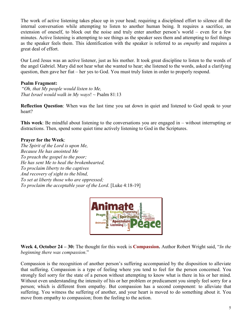The work of active listening takes place up in your head; requiring a disciplined effort to silence all the internal conversation while attempting to listen to another human being. It requires a sacrifice, an extension of oneself, to block out the noise and truly enter another person's world – even for a few minutes. Active listening is attempting to see things as the speaker sees them and attempting to feel things as the speaker feels them. This identification with the speaker is referred to as *empathy* and requires a great deal of effort.

Our Lord Jesus was an active listener, just as his mother. It took great discipline to listen to the words of the angel Gabriel. Mary did not hear what she wanted to hear; she listened to the words, asked a clarifying question, then gave her fiat – her yes to God. You must truly listen in order to properly respond.

#### **Psalm Fragment:**

 "*Oh, that My people would listen to Me, That Israel would walk in My ways*! ~ Psalm 81:13

**Reflection Question**: When was the last time you sat down in quiet and listened to God speak to your heart?

**This week**: Be mindful about listening to the conversations you are engaged in – without interrupting or distractions. Then, spend some quiet time actively listening to God in the Scriptures.

#### **Prayer for the Week**:

*The Spirit of the Lord is upon Me, Because He has anointed Me To preach the gospel to the poor; He has sent Me to heal the brokenhearted, To proclaim liberty to the captives And recovery of sight to the blind, To set at liberty those who are oppressed; To proclaim the acceptable year of the Lord*. [Luke 4:18-19]



**Week 4, October 24 – 30:** The thought for this week is **Compassion.** Author Robert Wright said, "*In the beginning there was compassion*."

Compassion is the recognition of another person's suffering accompanied by the disposition to alleviate that suffering. Compassion is a type of feeling where you tend to feel for the person concerned. You strongly feel sorry for the state of a person without attempting to know what is there in his or her mind. Without even understanding the intensity of his or her problem or predicament you simply feel sorry for a person; which is different from empathy. But compassion has a second component: to alleviate that suffering. You witness the suffering of another, and your heart is moved to do something about it. You move from empathy to compassion; from the feeling to the action.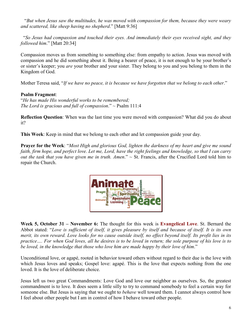"*But when Jesus saw the multitudes, he was moved with compassion for them, because they were weary and scattered, like sheep having no shepherd*." [Matt 9:36]

 "*So Jesus had compassion and touched their eyes. And immediately their eyes received sight, and they followed him*." [Matt 20:34]

Compassion moves us from something to something else: from empathy to action. Jesus was moved with compassion and he did something about it. Being a bearer of peace, it is not enough to be your brother's or sister's keeper; you *are* your brother and your sister. They belong to you and you belong to them in the Kingdom of God.

Mother Teresa said, "*If we have no peace, it is because we have forgotten that we belong to each other*."

### **Psalm Fragment**:

"*He has made His wonderful works to be remembered; The Lord is gracious and full of compassion*." ~ Psalm 111:4

**Reflection Question**: When was the last time you were moved with compassion? What did you do about it?

**This Week**: Keep in mind that we belong to each other and let compassion guide your day.

**Prayer for the Week**: "*Most High and glorious God, lighten the darkness of my heart and give me sound faith, firm hope, and perfect love. Let me, Lord, have the right feelings and knowledge, so that I can carry out the task that you have given me in truth. Amen*." ~ St. Francis, after the Crucified Lord told him to repair the Church.



**Week 5, October 31 – November 6:** The thought for this week is **Evangelical Love**. St. Bernard the Abbot stated: "*Love is sufficient of itself, it gives pleasure by itself and because of itself. It is its own merit, its own reward. Love looks for no cause outside itself, no effect beyond itself. Its profit lies in its practice…. For when God loves, all he desires is to be loved in return; the sole purpose of his love is to be loved, in the knowledge that those who love him are made happy by their love of him*."

Unconditional love, or agapé, rooted in behavior toward others without regard to their due is the love with which Jesus loves and speaks; Gospel love: agapé. This is the love that expects nothing from the one loved. It is the love of deliberate choice.

Jesus left us two great Commandments: Love God and love our neighbor as ourselves. So, the greatest commandment is to love. It does seem a little silly to try to command somebody to feel a certain way for someone else. But Jesus is saying that we ought to *behave* well toward them. I cannot always control how I feel about other people but I am in control of how I behave toward other people.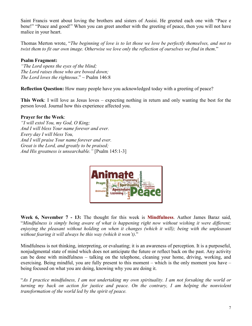Saint Francis went about loving the brothers and sisters of Assisi. He greeted each one with "Pace e bene!" "Peace and good!" When you can greet another with the greeting of peace, then you will not have malice in your heart.

Thomas Merton wrote, "*The beginning of love is to let those we love be perfectly themselves, and not to twist them to fit our own image. Otherwise we love only the reflection of ourselves we find in them*."

# **Psalm Fragment:**

*"The Lord opens the eyes of the blind; The Lord raises those who are bowed down; The Lord loves the righteous*." ~ Psalm 146:8

**Reflection Question:** How many people have you acknowledged today with a greeting of peace?

**This Week**: I will love as Jesus loves – expecting nothing in return and only wanting the best for the person loved. Journal how this experience affected you.

#### **Prayer for the Week**:

*"I will extol You, my God, O King; And I will bless Your name forever and ever. Every day I will bless You, And I will praise Your name forever and ever. Great is the Lord, and greatly to be praised; And His greatness is unsearchable."* [Psalm 145:1-3]



**Week 6, November 7 - 13:** The thought for this week is **Mindfulness**. Author James Baraz said, "*Mindfulness is simply being aware of what is happening right now without wishing it were different; enjoying the pleasant without holding on when it changes (which it will); being with the unpleasant without fearing it will always be this way (which it won't)*."

Mindfulness is not thinking, interpreting, or evaluating; it is an awareness of perception. It is a purposeful, nonjudgmental state of mind which does not anticipate the future or reflect back on the past. Any activity can be done with mindfulness – talking on the telephone, cleaning your home, driving, working, and exercising. Being mindful, you are fully present to this moment – which is the only moment you have – being focused on what you are doing, knowing why you are doing it.

"*As I practice mindfulness, I am not undertaking my own spirituality. I am not forsaking the world or turning my back on action for justice and peace. On the contrary, I am helping the nonviolent transformation of the world led by the spirit of peace.*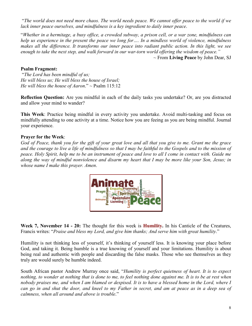"*The world does not need more chaos. The world needs peace. We cannot offer peace to the world if we lack inner peace ourselves, and mindfulness is a key ingredient to daily inner peace*.

"*Whether in a hermitage, a busy office, a crowded subway, a prison cell, or a war zone, mindfulness can help us experience in the present the peace we long for…. In a mindless world of violence, mindfulness makes all the difference. It transforms our inner peace into radiant public action. In this light, we see enough to take the next step, and walk forward in our war-torn world offering the wisdom of peace."*

~ From **Living Peace** by John Dear, SJ

#### **Psalm Fragment:**

 "*The Lord has been mindful of us; He will bless us; He will bless the house of Israel; He will bless the house of Aaron*." ~ Psalm 115:12

**Reflection Question:** Are you mindful in each of the daily tasks you undertake? Or, are you distracted and allow your mind to wander?

**This Week**: Practice being mindful in every activity you undertake. Avoid multi-tasking and focus on mindfully attending to one activity at a time. Notice how you are feeing as you are being mindful. Journal your experience.

#### **Prayer for the Week**:

*God of Peace, thank you for the gift of your great love and all that you give to me. Grant me the grace and the courage to live a life of mindfulness so that I may be faithful to the Gospels and to the mission of peace. Holy Spirit, help me to be an instrument of peace and love to all I come in contact with. Guide me along the way of mindful nonviolence and disarm my heart that I may be more like your Son, Jesus; in whose name I make this prayer. Amen*.



**Week 7, November 14 - 20:** The thought for this week is **Humility.** In his Canticle of the Creatures, Francis writes: "*Praise and bless my Lord, and give him thanks; And serve him with great humility*."

Humility is not thinking less of yourself, it's thinking of yourself less. It is knowing your place before God, and taking it. Being humble is a true knowing of yourself and your limitations. Humility is about being real and authentic with people and discarding the false masks. Those who see themselves as they truly are would surely be humble indeed.

South African pastor Andrew Murray once said, "*Humility is perfect quietness of heart. It is to expect nothing, to wonder at nothing that is done to me, to feel nothing done against me. It is to be at rest when nobody praises me, and when I am blamed or despised. It is to have a blessed home in the Lord, where I can go in and shut the door, and kneel to my Father in secret, and am at peace as in a deep sea of calmness, when all around and above is trouble*."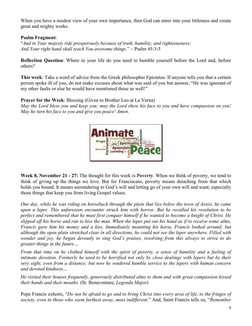When you have a modest view of your own importance, then God can enter into your littleness and create great and mighty works.

# **Psalm Fragment**:

"*And in Your majesty ride prosperously because of truth, humility, and righteousness; And Your right hand shall teach You awesome things*." ~ Psalm 45:3-5

**Reflection Question**: Where in your life do you need to humble yourself before the Lord and, before others?

**This week**: Take a word of advice from the Greek philosopher Epictetus: If anyone tells you that a certain person spoke ill of you, do not make excuses about what was said of you but answer, "He was ignorant of my other faults or else he would have mentioned those as well!"

**Prayer for the Week**: Blessing (Given to Brother Leo at La Verna)

*May the Lord bless you and keep you; may the Lord show his face to you and have compassion on you! May he turn his face to you and give you peace! Amen.* 



**Week 8, November 21 - 27:** The thought for this week is **Poverty**. When we think of poverty, we tend to think of giving up the things we love. But for Franciscans, poverty means detaching from that which holds you bound. It means surrendering to God's will and letting go of your own will and want; especially those things that keep you from living Gospel values.

*One day, while he was riding on horseback through the plain that lies below the town of Assisi, he came upon a leper. This unforeseen encounter struck him with horror. But he recalled his resolution to be perfect and remembered that he must first conquer himself if he wanted to become a knight of Christ. He slipped off his horse and ran to kiss the man. When the leper put out his hand as if to receive some alms, Francis gave him his money and a kiss. Immediately mounting his horse, Francis looked around; but although the open plain stretched clear in all directions, he could not see the leper anywhere. Filled with wonder and joy, he began devoutly to sing God's praises, resolving from this always to strive to do greater things in the future…* 

*From that time on he clothed himself with the spirit of poverty, a sense of humility and a feeling of intimate devotion. Formerly he used to be horrified not only by close dealings with lepers but by their very sight, even from a distance; but now he rendered humble service to the lepers with human concern and devoted kindness…* 

*He visited their houses frequently, generously distributed alms to them and with great compassion kissed their hands and their mouths.* (St. Bonaventure, *Legenda Major*)

Pope Francis exhorts, "*Do not be afraid to go and to bring Christ into every area of life, to the fringes of society, even to those who seem farthest away, most indifferent*." And, Saint Francis tells us, "*Remember*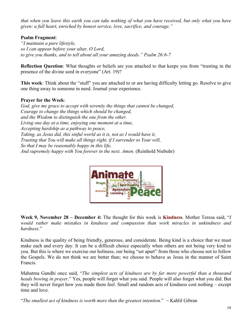*that when you leave this earth you can take nothing of what you have received, but only what you have given: a full heart, enriched by honest service, love, sacrifice, and courage."* 

# **Psalm Fragment**:

*"I maintain a pure lifestyle, so I can appear before your altar, O Lord, to give you thanks, and to tell about all your amazing deeds." Psalm 26:6-7* 

**Reflection Question**: What thoughts or beliefs are you attached to that keeps you from "trusting in the presence of the divine seed in everyone" (Art. 19)?

**This week**: Think about the "stuff" you are attached to or are having difficulty letting go. Resolve to give one thing away to someone in need. Journal your experience.

# **Prayer for the Week**:

*God, give me grace to accept with serenity the things that cannot be changed, Courage to change the things which should be changed, and the Wisdom to distinguish the one from the other. Living one day at a time, enjoying one moment at a time, Accepting hardship as a pathway to peace, Taking, as Jesus did, this sinful world as it is, not as I would have it, Trusting that You will make all things right, if I surrender to Your will, So that I may be reasonably happy in this life, And supremely happy with You forever in the next. Amen.* (Reinhold Niebuhr)



**Week 9, November 28 – December 4:** The thought for this week is **Kindness**. Mother Teresa said, "*I would rather make mistakes in kindness and compassion than work miracles in unkindness and hardness.*"

Kindness is the quality of being friendly, generous, and considerate. Being kind is a choice that we must make each and every day. It can be a difficult choice especially when others are not being very kind to you. But this is where we exercise our holiness, our being "set apart" from those who choose not to follow the Gospels. We do not think we are better than; we choose to behave as Jesus in the manner of Saint Francis.

Mahatma Gandhi once said, "*The simplest acts of kindness are by far more powerful than a thousand heads bowing in prayer*." Yes, people will forget what you said. People will also forget what you did. But they will never forget how you made them feel. Small and random acts of kindness cost nothing – except time and love.

"The smallest act of kindness is worth more than the greatest intention."  $\sim$  Kahlil Gibran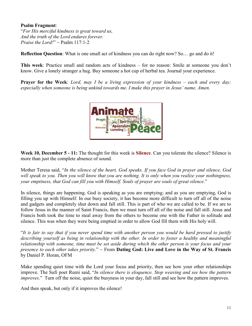# **Psalm Fragment**:

"*For His merciful kindness is great toward us, And the truth of the Lord endures forever. Praise the Lord!*" ~ Psalm 117:1-2

**Reflection Question**: What is one small act of kindness you can do right now? So… go and do it!

**This week**: Practice small and random acts of kindness – for no reason: Smile at someone you don't know. Give a lonely stranger a hug. Buy someone a hot cup of herbal tea. Journal your experience.

**Prayer for the Week**: *Lord, may I be a living expression of your kindness – each and every day; especially when someone is being unkind towards me. I make this prayer in Jesus' name. Amen*.



**Week 10, December 5 - 11:** The thought for this week is **Silence**. Can you tolerate the silence? Silence is more than just the complete absence of sound.

Mother Teresa said, "*In the silence of the heart, God speaks. If you face God in prayer and silence, God will speak to you. Then you will know that you are nothing. It is only when you realize your nothingness, your emptiness, that God can fill you with Himself. Souls of prayer are souls of great silence*."

In silence, things are happening. God is speaking as you are emptying; and as you are emptying, God is filling you up with Himself. In our busy society, it has become more difficult to turn off all of the noise and gadgets and completely shut down and fall still. This is part of who we are called to be. If we are to follow Jesus in the manner of Saint Francis, then we must turn off all of the noise and fall still. Jesus and Francis both took the time to steal away from the others to become one with the Father in solitude and silence. This was when they were being emptied in order to allow God fill them with His holy will.

"*It is fair to say that if you never spend time with another person you would be hard pressed to justify describing yourself as being in relationship with the other. In order to foster a healthy and meaningful relationship with someone, time must be set aside during which the other person is your focus and your presence to each other takes priority*." ~ From **Dating God: Live and Love in the Way of St. Francis** by Daniel P. Horan, OFM

Make spending quiet time with the Lord your focus and priority, then see how your other relationships improve. The Sufi poet Rumi said, "*In silence there is eloquence. Stop weaving and see how the pattern improves*." Turn off the noise, quiet the busyness in your day, fall still and see how the pattern improves.

And then speak, but only if it improves the silence!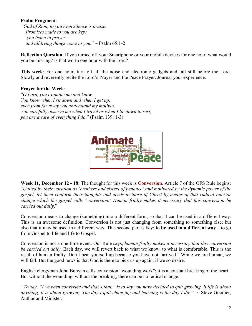### **Psalm Fragment**:

*"God of Zion, to you even silence is praise. Promises made to you are kept – you listen to prayer – and all living things come to you.*" ~ Psalm 65:1-2

**Reflection Question**: If you turned off your Smartphone or your mobile devices for one hour, what would you be missing? Is that worth one hour with the Lord?

**This week**: For one hour, turn off all the noise and electronic gadgets and fall still before the Lord. Slowly and reverently recite the Lord's Prayer and the Peace Prayer. Journal your experience.

# **Prayer for the Week**:

"*O Lord, you examine me and know. You know when I sit down and when I get up; even from far away you understand my motives. You carefully observe me when I travel or when I lie down to rest; you are aware of everything I do*." (Psalm 139: 1-3)



**Week 11, December 12 - 18:** The thought for this week is **Conversion**. Article 7 of the OFS Rule begins: "*United by their vocation as 'brothers and sisters of penance' and motivated by the dynamic power of the gospel, let them conform their thoughts and deeds to those of Christ by means of that radical interior change which the gospel calls 'conversion.' Human frailty makes it necessary that this conversion be carried out daily*."

Conversion means to change (something) into a different form, so that it can be used in a different way. This is an awesome definition. Conversion is not just changing from something to something else; but also that it may be used in a different way. This second part is key: **to be used in a different way** – to go from Gospel to life and life to Gospel.

Conversion is not a one-time event. Our Rule says, *human frailty makes it necessary that this conversion be carried out daily*. Each day, we will revert back to what we know, to what is comfortable. This is the result of human frailty. Don't beat yourself up because you have not "arrived." While we are human, we will fall. But the good news is that God is there to pick us up again, if we so desire.

English clergyman John Bunyan calls conversion "wounding work"; it is a constant breaking of the heart. But without the wounding, without the breaking, there can be no radical change.

*"To say, "I've been converted and that's that," is to say you have decided to quit growing. If life is about anything, it is about growing. The day I quit changing and learning is the day I die.*"  $\sim$  Steve Goodier, Author and Minister.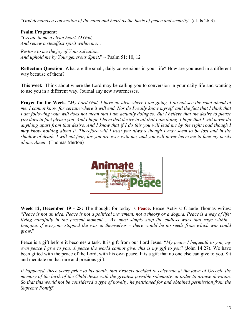"*God demands a conversion of the mind and heart as the basis of peace and security*" (cf. Is 26:3).

# **Psalm Fragment**:

"*Create in me a clean heart, O God, And renew a steadfast spirit within me…* 

*Restore to me the joy of Your salvation, And uphold me by Your generous Spirit*." ~ Psalm 51: 10, 12

**Reflection Question**: What are the small, daily conversions in your life? How are you used in a different way because of them?

**This week**: Think about where the Lord may be calling you to conversion in your daily life and wanting to use you in a different way. Journal any new awarenesses.

**Prayer for the Week**: "*My Lord God, I have no idea where I am going. I do not see the road ahead of me. I cannot know for certain where it will end. Nor do I really know myself, and the fact that I think that I am following your will does not mean that I am actually doing so. But I believe that the desire to please you does in fact please you. And I hope I have that desire in all that I am doing. I hope that I will never do anything apart from that desire. And I know that if I do this you will lead me by the right road though I may know nothing about it. Therefore will I trust you always though I may seem to be lost and in the shadow of death. I will not fear, for you are ever with me, and you will never leave me to face my perils alone*. *Amen*" (Thomas Merton)



**Week 12, December 19 - 25:** The thought for today is **Peace.** Peace Activist Claude Thomas writes: "*Peace is not an idea. Peace is not a political movement, not a theory or a dogma. Peace is a way of life: living mindfully in the present moment.... We must simply stop the endless wars that rage within... Imagine, if everyone stopped the war in themselves – there would be no seeds from which war could grow*."

Peace is a gift before it becomes a task. It is gift from our Lord Jesus: "*My peace I bequeath to you, my own peace I give to you. A peace the world cannot give, this is my gift to you*" (John 14:27). We have been gifted with the peace of the Lord; with his own peace. It is a gift that no one else can give to you. Sit and meditate on that rare and precious gift.

*It happened, three years prior to his death, that Francis decided to celebrate at the town of Greccio the memory of the birth of the Child Jesus with the greatest possible solemnity, in order to arouse devotion. So that this would not be considered a type of novelty, he petitioned for and obtained permission from the Supreme Pontiff.*